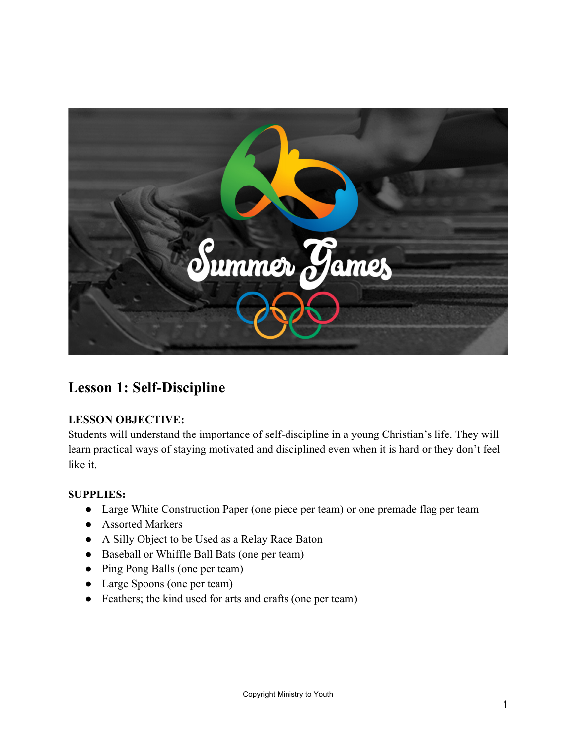

#### **Lesson 1: Self-Discipline**

#### **LESSON OBJECTIVE:**

Students will understand the importance of self-discipline in a young Christian's life. They will learn practical ways of staying motivated and disciplined even when it is hard or they don't feel like it.

#### **SUPPLIES:**

- Large White Construction Paper (one piece per team) or one premade flag per team
- Assorted Markers
- A Silly Object to be Used as a Relay Race Baton
- Baseball or Whiffle Ball Bats (one per team)
- Ping Pong Balls (one per team)
- Large Spoons (one per team)
- Feathers; the kind used for arts and crafts (one per team)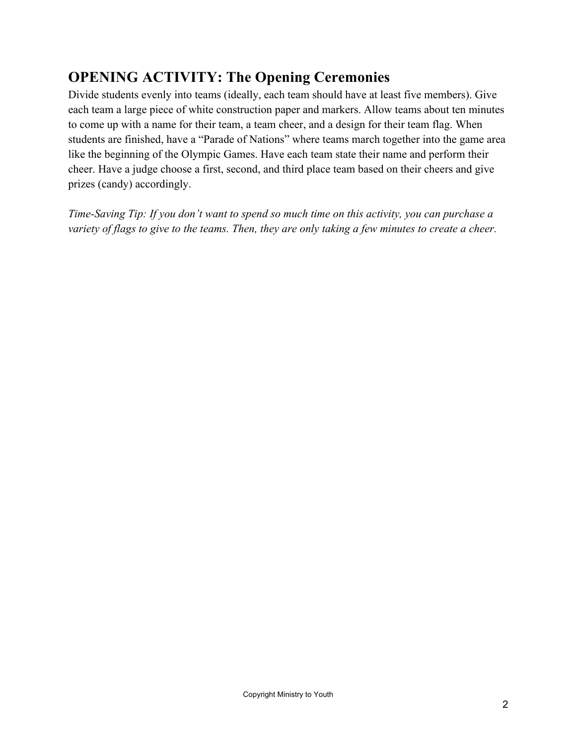## **OPENING ACTIVITY: The Opening Ceremonies**

Divide students evenly into teams (ideally, each team should have at least five members). Give each team a large piece of white construction paper and markers. Allow teams about ten minutes to come up with a name for their team, a team cheer, and a design for their team flag. When students are finished, have a "Parade of Nations" where teams march together into the game area like the beginning of the Olympic Games. Have each team state their name and perform their cheer. Have a judge choose a first, second, and third place team based on their cheers and give prizes (candy) accordingly.

*Time-Saving Tip: If you don't want to spend so much time on this activity, you can purchase a variety of flags to give to the teams. Then, they are only taking a few minutes to create a cheer.*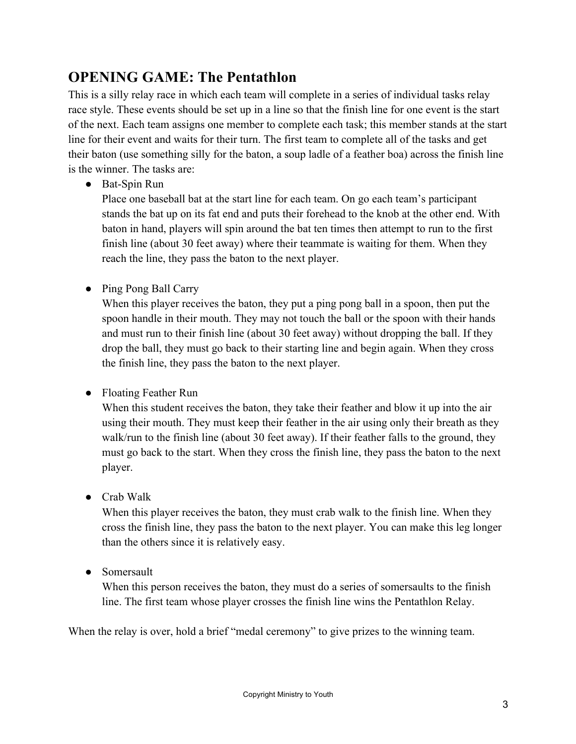## **OPENING GAME: The Pentathlon**

This is a silly relay race in which each team will complete in a series of individual tasks relay race style. These events should be set up in a line so that the finish line for one event is the start of the next. Each team assigns one member to complete each task; this member stands at the start line for their event and waits for their turn. The first team to complete all of the tasks and get their baton (use something silly for the baton, a soup ladle of a feather boa) across the finish line is the winner. The tasks are:

● Bat-Spin Run

Place one baseball bat at the start line for each team. On go each team's participant stands the bat up on its fat end and puts their forehead to the knob at the other end. With baton in hand, players will spin around the bat ten times then attempt to run to the first finish line (about 30 feet away) where their teammate is waiting for them. When they reach the line, they pass the baton to the next player.

● Ping Pong Ball Carry

When this player receives the baton, they put a ping pong ball in a spoon, then put the spoon handle in their mouth. They may not touch the ball or the spoon with their hands and must run to their finish line (about 30 feet away) without dropping the ball. If they drop the ball, they must go back to their starting line and begin again. When they cross the finish line, they pass the baton to the next player.

● Floating Feather Run

When this student receives the baton, they take their feather and blow it up into the air using their mouth. They must keep their feather in the air using only their breath as they walk/run to the finish line (about 30 feet away). If their feather falls to the ground, they must go back to the start. When they cross the finish line, they pass the baton to the next player.

● Crab Walk

When this player receives the baton, they must crab walk to the finish line. When they cross the finish line, they pass the baton to the next player. You can make this leg longer than the others since it is relatively easy.

• Somersault

When this person receives the baton, they must do a series of somersaults to the finish line. The first team whose player crosses the finish line wins the Pentathlon Relay.

When the relay is over, hold a brief "medal ceremony" to give prizes to the winning team.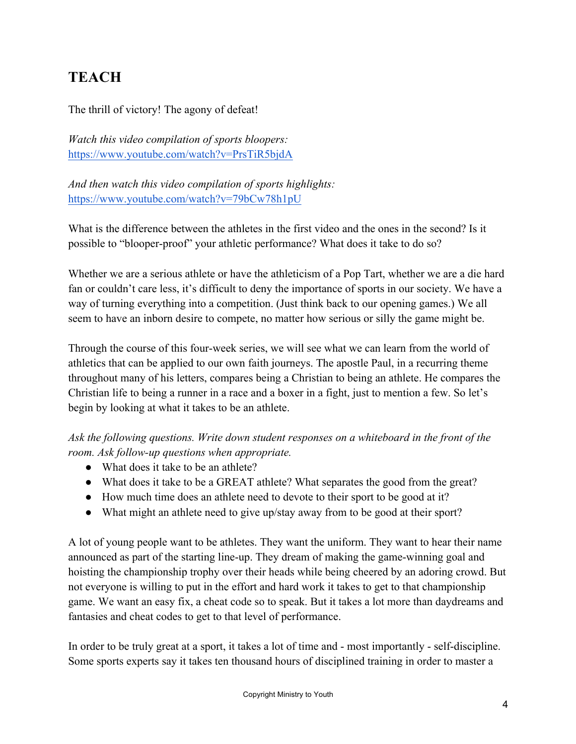# **TEACH**

The thrill of victory! The agony of defeat!

*Watch this video compilation of sports bloopers:* https://www.youtube.com/watch?v=PrsTiR5bjdA

*And then watch this video compilation of sports highlights:* https://www.youtube.com/watch?v=79bCw78h1pU

What is the difference between the athletes in the first video and the ones in the second? Is it possible to "blooper-proof" your athletic performance? What does it take to do so?

Whether we are a serious athlete or have the athleticism of a Pop Tart, whether we are a die hard fan or couldn't care less, it's difficult to deny the importance of sports in our society. We have a way of turning everything into a competition. (Just think back to our opening games.) We all seem to have an inborn desire to compete, no matter how serious or silly the game might be.

Through the course of this four-week series, we will see what we can learn from the world of athletics that can be applied to our own faith journeys. The apostle Paul, in a recurring theme throughout many of his letters, compares being a Christian to being an athlete. He compares the Christian life to being a runner in a race and a boxer in a fight, just to mention a few. So let's begin by looking at what it takes to be an athlete.

*Ask the following questions. Write down student responses on a whiteboard in the front of the room. Ask follow-up questions when appropriate.*

- What does it take to be an athlete?
- What does it take to be a GREAT athlete? What separates the good from the great?
- How much time does an athlete need to devote to their sport to be good at it?
- What might an athlete need to give up/stay away from to be good at their sport?

A lot of young people want to be athletes. They want the uniform. They want to hear their name announced as part of the starting line-up. They dream of making the game-winning goal and hoisting the championship trophy over their heads while being cheered by an adoring crowd. But not everyone is willing to put in the effort and hard work it takes to get to that championship game. We want an easy fix, a cheat code so to speak. But it takes a lot more than daydreams and fantasies and cheat codes to get to that level of performance.

In order to be truly great at a sport, it takes a lot of time and - most importantly - self-discipline. Some sports experts say it takes ten thousand hours of disciplined training in order to master a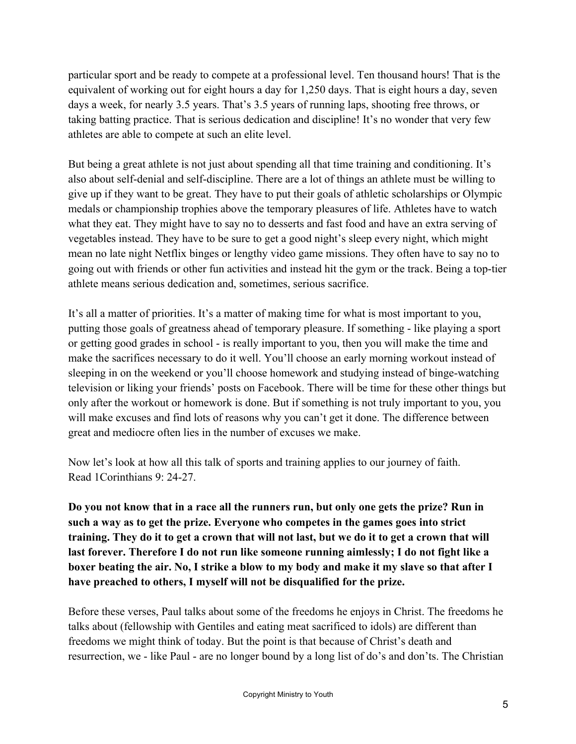particular sport and be ready to compete at a professional level. Ten thousand hours! That is the equivalent of working out for eight hours a day for 1,250 days. That is eight hours a day, seven days a week, for nearly 3.5 years. That's 3.5 years of running laps, shooting free throws, or taking batting practice. That is serious dedication and discipline! It's no wonder that very few athletes are able to compete at such an elite level.

But being a great athlete is not just about spending all that time training and conditioning. It's also about self-denial and self-discipline. There are a lot of things an athlete must be willing to give up if they want to be great. They have to put their goals of athletic scholarships or Olympic medals or championship trophies above the temporary pleasures of life. Athletes have to watch what they eat. They might have to say no to desserts and fast food and have an extra serving of vegetables instead. They have to be sure to get a good night's sleep every night, which might mean no late night Netflix binges or lengthy video game missions. They often have to say no to going out with friends or other fun activities and instead hit the gym or the track. Being a top-tier athlete means serious dedication and, sometimes, serious sacrifice.

It's all a matter of priorities. It's a matter of making time for what is most important to you, putting those goals of greatness ahead of temporary pleasure. If something - like playing a sport or getting good grades in school - is really important to you, then you will make the time and make the sacrifices necessary to do it well. You'll choose an early morning workout instead of sleeping in on the weekend or you'll choose homework and studying instead of binge-watching television or liking your friends' posts on Facebook. There will be time for these other things but only after the workout or homework is done. But if something is not truly important to you, you will make excuses and find lots of reasons why you can't get it done. The difference between great and mediocre often lies in the number of excuses we make.

Now let's look at how all this talk of sports and training applies to our journey of faith. Read 1Corinthians 9: 24-27.

**Do you not know that in a race all the runners run, but only one gets the prize? Run in such a way as to get the prize. Everyone who competes in the games goes into strict training. They do it to get a crown that will not last, but we do it to get a crown that will last forever. Therefore I do not run like someone running aimlessly; I do not fight like a boxer beating the air. No, I strike a blow to my body and make it my slave so that after I have preached to others, I myself will not be disqualified for the prize.**

Before these verses, Paul talks about some of the freedoms he enjoys in Christ. The freedoms he talks about (fellowship with Gentiles and eating meat sacrificed to idols) are different than freedoms we might think of today. But the point is that because of Christ's death and resurrection, we - like Paul - are no longer bound by a long list of do's and don'ts. The Christian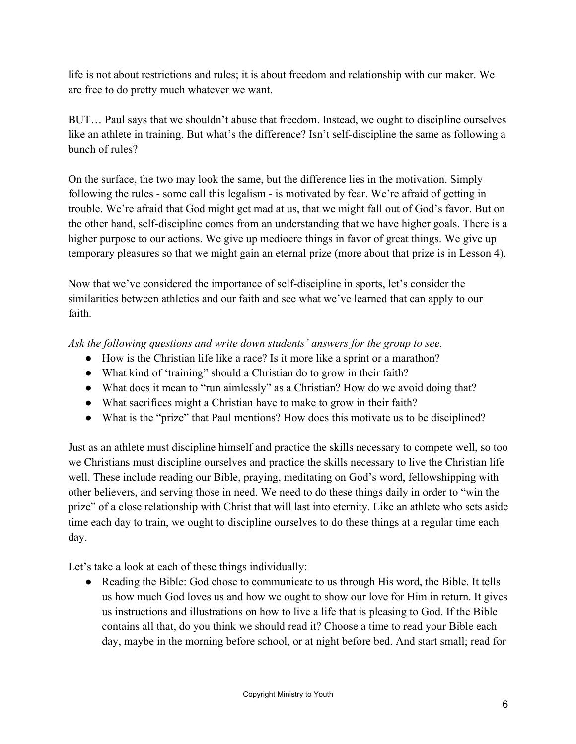life is not about restrictions and rules; it is about freedom and relationship with our maker. We are free to do pretty much whatever we want.

BUT… Paul says that we shouldn't abuse that freedom. Instead, we ought to discipline ourselves like an athlete in training. But what's the difference? Isn't self-discipline the same as following a bunch of rules?

On the surface, the two may look the same, but the difference lies in the motivation. Simply following the rules - some call this legalism - is motivated by fear. We're afraid of getting in trouble. We're afraid that God might get mad at us, that we might fall out of God's favor. But on the other hand, self-discipline comes from an understanding that we have higher goals. There is a higher purpose to our actions. We give up mediocre things in favor of great things. We give up temporary pleasures so that we might gain an eternal prize (more about that prize is in Lesson 4).

Now that we've considered the importance of self-discipline in sports, let's consider the similarities between athletics and our faith and see what we've learned that can apply to our faith.

*Ask the following questions and write down students' answers for the group to see.*

- How is the Christian life like a race? Is it more like a sprint or a marathon?
- What kind of 'training'' should a Christian do to grow in their faith?
- What does it mean to "run aimlessly" as a Christian? How do we avoid doing that?
- What sacrifices might a Christian have to make to grow in their faith?
- What is the "prize" that Paul mentions? How does this motivate us to be disciplined?

Just as an athlete must discipline himself and practice the skills necessary to compete well, so too we Christians must discipline ourselves and practice the skills necessary to live the Christian life well. These include reading our Bible, praying, meditating on God's word, fellowshipping with other believers, and serving those in need. We need to do these things daily in order to "win the prize" of a close relationship with Christ that will last into eternity. Like an athlete who sets aside time each day to train, we ought to discipline ourselves to do these things at a regular time each day.

Let's take a look at each of these things individually:

• Reading the Bible: God chose to communicate to us through His word, the Bible. It tells us how much God loves us and how we ought to show our love for Him in return. It gives us instructions and illustrations on how to live a life that is pleasing to God. If the Bible contains all that, do you think we should read it? Choose a time to read your Bible each day, maybe in the morning before school, or at night before bed. And start small; read for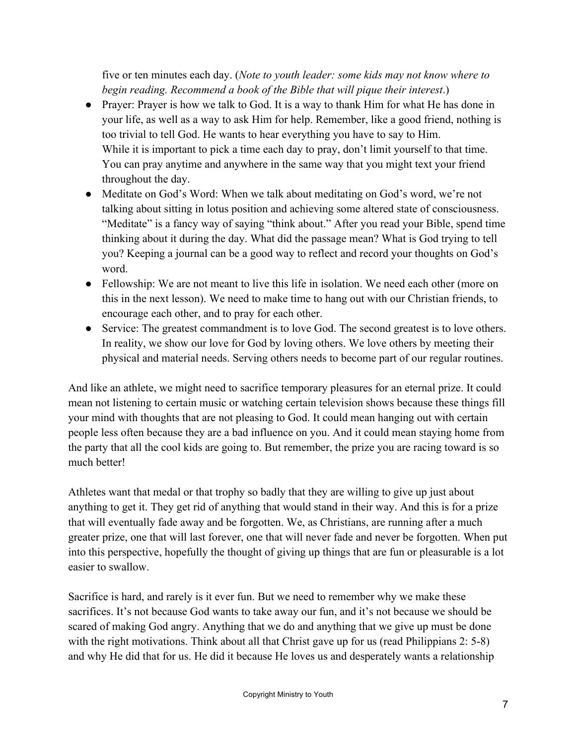five or ten minutes each day. (*Note to youth leader: some kids may not know where to begin reading. Recommend a book of the Bible that will pique their interest*.)

- Prayer: Prayer is how we talk to God. It is a way to thank Him for what He has done in your life, as well as a way to ask Him for help. Remember, like a good friend, nothing is too trivial to tell God. He wants to hear everything you have to say to Him. While it is important to pick a time each day to pray, don't limit yourself to that time. You can pray anytime and anywhere in the same way that you might text your friend throughout the day.
- Meditate on God's Word: When we talk about meditating on God's word, we're not talking about sitting in lotus position and achieving some altered state of consciousness. "Meditate" is a fancy way of saying "think about." After you read your Bible, spend time thinking about it during the day. What did the passage mean? What is God trying to tell you? Keeping a journal can be a good way to reflect and record your thoughts on God's word.
- Fellowship: We are not meant to live this life in isolation. We need each other (more on this in the next lesson). We need to make time to hang out with our Christian friends, to encourage each other, and to pray for each other.
- Service: The greatest commandment is to love God. The second greatest is to love others. In reality, we show our love for God by loving others. We love others by meeting their physical and material needs. Serving others needs to become part of our regular routines.

And like an athlete, we might need to sacrifice temporary pleasures for an eternal prize. It could mean not listening to certain music or watching certain television shows because these things fill your mind with thoughts that are not pleasing to God. It could mean hanging out with certain people less often because they are a bad influence on you. And it could mean staying home from the party that all the cool kids are going to. But remember, the prize you are racing toward is so much better!

Athletes want that medal or that trophy so badly that they are willing to give up just about anything to get it. They get rid of anything that would stand in their way. And this is for a prize that will eventually fade away and be forgotten. We, as Christians, are running after a much greater prize, one that will last forever, one that will never fade and never be forgotten. When put into this perspective, hopefully the thought of giving up things that are fun or pleasurable is a lot easier to swallow.

Sacrifice is hard, and rarely is it ever fun. But we need to remember why we make these sacrifices. It's not because God wants to take away our fun, and it's not because we should be scared of making God angry. Anything that we do and anything that we give up must be done with the right motivations. Think about all that Christ gave up for us (read Philippians 2: 5-8) and why He did that for us. He did it because He loves us and desperately wants a relationship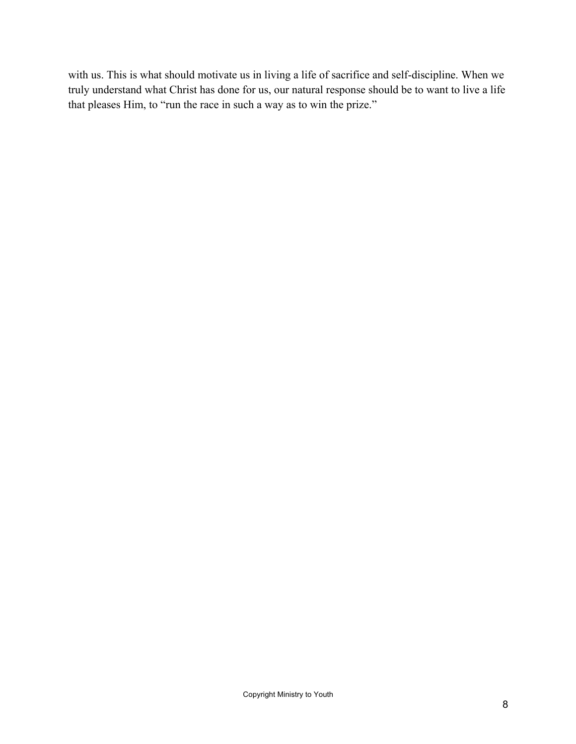with us. This is what should motivate us in living a life of sacrifice and self-discipline. When we truly understand what Christ has done for us, our natural response should be to want to live a life that pleases Him, to "run the race in such a way as to win the prize."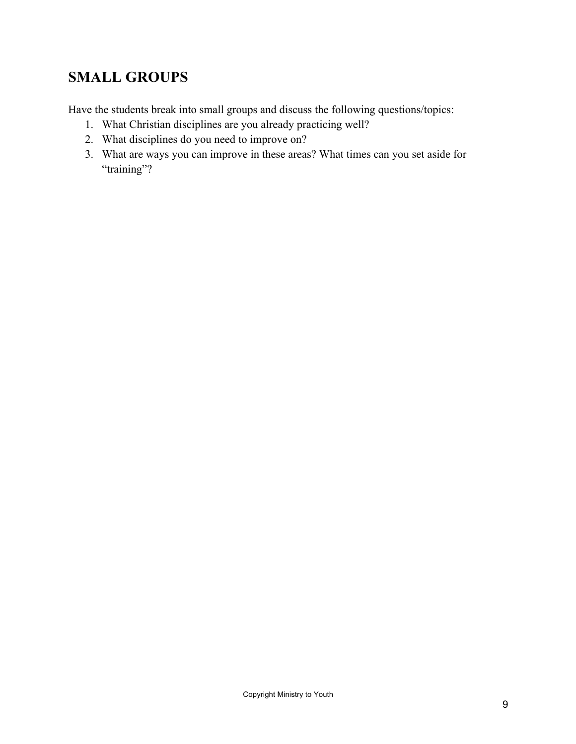## **SMALL GROUPS**

Have the students break into small groups and discuss the following questions/topics:

- 1. What Christian disciplines are you already practicing well?
- 2. What disciplines do you need to improve on?
- 3. What are ways you can improve in these areas? What times can you set aside for "training"?